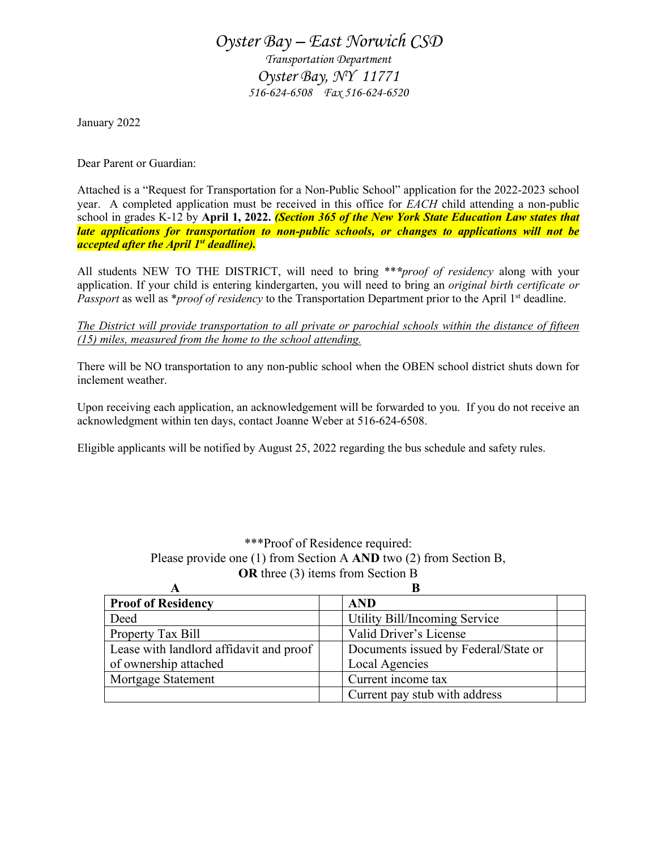## *Oyster Bay – East Norwich CSD Transportation Department Oyster Bay, NY 11771 516-624-6508 Fax 516-624-6520*

January 2022

Dear Parent or Guardian:

Attached is a "Request for Transportation for a Non-Public School" application for the 2022-2023 school year. A completed application must be received in this office for *EACH* child attending a non-public school in grades K-12 by **April 1, 2022.** *(Section 365 of the New York State Education Law states that late applications for transportation to non-public schools, or changes to applications will not be accepted after the April 1st deadline).*

All students NEW TO THE DISTRICT, will need to bring \*\**\*proof of residency* along with your application. If your child is entering kindergarten, you will need to bring an *original birth certificate or Passport* as well as \**proof of residency* to the Transportation Department prior to the April 1st deadline.

*The District will provide transportation to all private or parochial schools within the distance of fifteen (15) miles, measured from the home to the school attending.*

There will be NO transportation to any non-public school when the OBEN school district shuts down for inclement weather.

Upon receiving each application, an acknowledgement will be forwarded to you. If you do not receive an acknowledgment within ten days, contact Joanne Weber at 516-624-6508.

Eligible applicants will be notified by August 25, 2022 regarding the bus schedule and safety rules.

\*\*\*Proof of Residence required: Please provide one (1) from Section A **AND** two (2) from Section B, **OR** three (3) items from Section B

| <b>Proof of Residency</b>               | <b>AND</b>                           |  |
|-----------------------------------------|--------------------------------------|--|
| Deed                                    | Utility Bill/Incoming Service        |  |
| Property Tax Bill                       | Valid Driver's License               |  |
| Lease with landlord affidavit and proof | Documents issued by Federal/State or |  |
| of ownership attached                   | Local Agencies                       |  |
| Mortgage Statement                      | Current income tax                   |  |
|                                         | Current pay stub with address        |  |